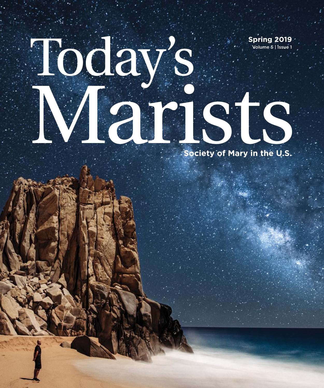# Today's Marists **Spring 2019** Volume 5 | Issue 1

**Society of Mary in the U.S.**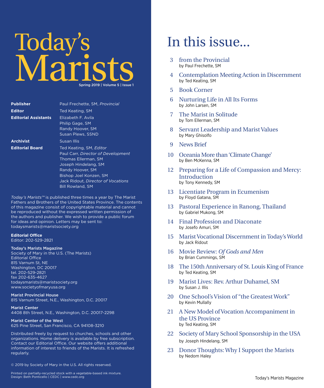## Today's Marists Spring 2019 | Volume 5 | Issue 1

| <b>Publisher</b>            | Paul Frechette, SM, Provincial                                                                                                                                                                                                     |
|-----------------------------|------------------------------------------------------------------------------------------------------------------------------------------------------------------------------------------------------------------------------------|
| <b>Editor</b>               | Ted Keating, SM                                                                                                                                                                                                                    |
| <b>Editorial Assistants</b> | Elizabeth F. Avila<br>Philip Gage, SM<br>Randy Hoover, SM<br>Susan Plews, SSND                                                                                                                                                     |
| <b>Archivist</b>            | Susan Illis                                                                                                                                                                                                                        |
| <b>Editorial Board</b>      | Ted Keating, SM, Editor<br>Paul Carr, Director of Development<br><b>Thomas Ellerman, SM</b><br>Joseph Hindelang, SM<br>Randy Hoover, SM<br>Bishop Joel Konzen, SM<br>Jack Ridout, Director of Vocations<br><b>Bill Rowland, SM</b> |

*Today's Marists™* is published three times a year by The Marist Fathers and Brothers of the United States Province. The contents of this magazine consist of copyrightable material and cannot be reproduced without the expressed written permission of the authors and publisher. We wish to provide a public forum for ideas and opinion. Letters may be sent to: todaysmarists@maristsociety.org

#### **Editorial Office**

Editor: 202-529-2821

#### Today's Marists Magazine

Society of Mary in the U.S. (The Marists) Editorial Office 815 Varnum St, NE Washington, DC 20017 tel. 202-529-2821 fax 202-635-4627 todaysmarists@maristsociety.org www.societyofmaryusa.org

#### Marist Provincial House

815 Varnum Street, N.E., Washington, D.C. 20017

#### Marist Center

4408 8th Street, N.E., Washington, D.C. 20017-2298

#### Marist Center of the West

625 Pine Street, San Francisco, CA 94108-3210

Distributed freely by request to churches, schools and other organizations. Home delivery is available by free subscription. Contact our Editorial Office. Our website offers additional information of interest to friends of the Marists. It is refreshed regularly.

© 2019 by Society of Mary in the U.S. All rights reserved.

**2** Today's Marists Magazine Design: Beth Ponticello | CEDC | www.cedc.org Printed on partially-recycled stock with a vegetable-based ink mixture.

## In this issue...

- 3 from the Provincial by Paul Frechette, SM
- 4 Contemplation Meeting Action in Discernment by Ted Keating, SM
- 5 Book Corner
- 6 Nurturing Life in All Its Forms by John Larsen, SM
- 7 The Marist in Solitude by Tom Ellerman, SM
- 8 Servant Leadership and Marist Values by Mary Ghisolfo
- 9 News Brief
- 10 Oceania More than 'Climate Change' by Ben McKenna, SM
- 12 Preparing for a Life of Compassion and Mercy: Introduction by Tony Kennedy, SM
- 13 Licentiate Program in Ecumenism by Floyd Gatana, SM
- 13 Pastoral Experience in Ranong, Thailand by Gabriel Mukong, SM
- 14 Final Profession and Diaconate by Josefo Amuri, SM
- 15 Marist Vocational Discernment in Today's World by Jack Ridout
- 16 Movie Review: *Of Gods and Men* by Brian Cummings, SM
- 18 The 150th Anniversary of St. Louis King of France by Ted Keating, SM
- 19 Marist Lives: Rev. Arthur Duhamel, SM by Susan J. Illis
- 20 One School's Vision of "the Greatest Work" by Kevin Mullally
- 21 A New Model of Vocation Accompaniment in the US Province by Ted Keating, SM
- 22 Society of Mary School Sponsorship in the USA by Joseph Hindelang, SM
- 23 Donor Thoughts: Why I Support the Marists by Nedom Haley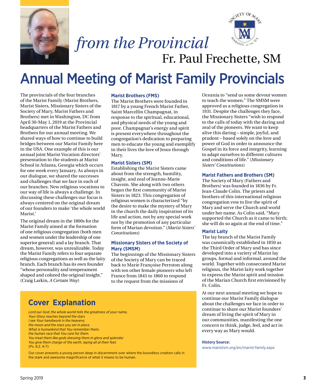



## *from the Provincial* Fr. Paul Frechette, SM

## Annual Meeting of Marist Family Provincials

The provincials of the four branches of the Marist Family (Marist Brothers, Marist Sisters, Missionary Sisters of the Society of Mary, Marist Fathers and Brothers) met in Washington, DC from April 30-May 1, 2019 at the Provincial headquarters of the Marist Fathers and Brothers for our annual meeting. We shared ways of how to continue to build bridges between our Marist Family here in the USA. One example of this is our annual joint Marist Vocation directors' presentation to the students at Marist School in Atlanta, Georgia which occurs for one week every January. As always in our dialogue, we shared the successes and challenges that we face in each of our branches. New religious vocations to our way of life is always a challenge. In discussing these challenges our focus is always centered on the original dream of our founders to make 'the whole world Marist.'

The original dream in the 1800s for the Marist Family aimed at the formation of one religious congregation (both men and women under the leadership of one superior general) and a lay branch. That dream, however, was unrealizable. Today the Marist Family refers to four separate religious congregations as well as the laity branch. Each branch has its own founder "whose personality and temperament shaped and colored the original insight." (Craig Larkin, *A Certain Way*)

#### **Marist Brothers (FMS)**

The Marist Brothers were founded in 1817 by a young French Marist Father, Saint Marcellin Champagnat, in response to the spiritual, educational, and physical needs of the young and poor. Champagnat's energy and spirit is present everywhere throughout the congregation's dedication to preparing men to educate the young and exemplify in their lives the love of Jesus through Mary.

#### **Marist Sisters (SM)**

Establishing the Marist Sisters came about from the strength, humility, insight, and zeal of Jeanne-Marie Chavoin. She along with two others began the first community of Marist Sisters in 1823. This congregation of religious women is characterized "by the desire to make the mystery of Mary in the church the daily inspiration of its life and action, not by any special work nor by the promotion of any particular form of Marian devotion." (*Marist Sisters' Constitutions*)

#### **Missionary Sisters of the Society of Mary (SMSM)**

The beginnings of the Missionary Sisters of the Society of Mary can be traced back to Marie Françoise Perroton along with ten other female pioneers who left France from 1845 to 1860 to respond to the request from the missions of



Our cover presents a young person deep in discernment over where the boundless creation calls in the stark and awesome magnificence of what it means to be human.

Oceania to "send us some devout women to teach the women." The SMSM were approved as a religious congregation in 1931. Despite the challenges they face, the Missionary Sisters "wish to respond to the calls of today with the daring and zeal of the pioneers. We want to keep alive this daring – simple, joyful, and prudent – based solely on the love and power of God in order to announce the Gospel in its force and integrity, learning to adapt ourselves to different cultures and conditions of life." (*Missionary Sisters' Constitutions*)

#### **Marist Fathers and Brothers (SM)**

The Society of Mary (Fathers and Brothers) was founded in 1836 by Fr. Jean-Claude Colin. The priests and brothers of this international religious congregation vow to live the spirit of Mary and serve the Church and world under her name. As Colin said, "Mary supported the Church as it came to birth; she will do so again at the end of time."

#### **Marist Laity**

The lay branch of the Marist Family was canonically established in 1850 as the Third Order of Mary and has since developed into a variety of Marist lay groups, formal and informal, around the world. Together with consecrated Marist religious, the Marist laity work together to express the Marist spirit and mission of the Marian Church first envisioned by Fr. Colin.

At our next annual meeting we hope to continue our Marist Family dialogue about the challenges we face in order to continue to share our Marist founders' dream of living the spirit of Mary in our communities, manifesting the one concern to think, judge, feel, and act in every way as Mary would.

#### **History Source:**

[www.maristsm.org/en/marist-family.aspx](http://www.maristsm.org/en/marist-family.aspx)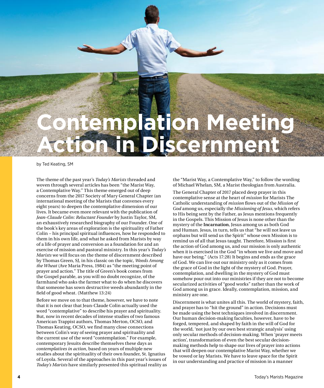

by Ted Keating, SM

The theme of the past year's *Today's Marists* threaded and woven through several articles has been "the Marist Way, a Contemplative Way." This theme emerged out of deep concerns from the 2017 Society of Mary General Chapter (an international meeting of the Marists that convenes every eight years) to deepen the contemplative dimension of our lives. It became even more relevant with the publication of *Jean-Claude Colin: Reluctant Founder* by Justin Taylor, SM, an exhaustively researched biography of our Founder. One of the book's key areas of exploration is the spirituality of Father Colin − his principal spiritual influences, how he responded to them in his own life, and what he asked from Marists by way of a life of prayer and conversion as a foundation for and an exercise of mission and pastoral ministry. In this year's *Today's Marists* we will focus on the theme of discernment described by Thomas Green, SJ, in his classic on the topic, *Weeds Among the Wheat* (Ave Maria Press, 1984) as "the meeting point of prayer and action." The title of Green's book comes from the Gospel parable, as you will no doubt recognize, of the farmhand who asks the farmer what to do when he discovers that someone has sown destructive weeds abundantly in the field of good wheat. (Matthew 13:24)

Before we move on to that theme, however, we have to note that it is not clear that Jean-Claude Colin actually used the word "contemplative" to describe his prayer and spirituality. But, now in recent decades of intense studies of two famous American Trappist authors, Thomas Merton, OCSO, and Thomas Keating, OCSO, we find many close connections between Colin's way of seeing prayer and spirituality and the current use of the word "contemplation." For example, contemporary Jesuits describe themselves these days as *contemplatives in action*, based on years of multiple new studies about the spirituality of their own founder, St. Ignatius of Loyola. Several of the approaches in this past year's issues of *Today's Marists* have similarly presented this spiritual reality as the "Marist Way, a Contemplative Way," to follow the wording of Michael Whelan, SM, a Marist theologian from Australia.

The General Chapter of 2017 placed deep prayer in this contemplative sense at the heart of *mission* for Marists The Catholic understanding of *mission* flows out of the *Mission of God* among us, especially the *Missioning of Jesus*, which refers to His being sent by the Father, as Jesus mentions frequently in the Gospels. This Mission of Jesus is none other than the mystery of the **Incarnation**, Jesus among us as both God and Human. Jesus, in turn, tells us that "he will not leave us orphans but will send us the Spirit" whose own Mission is to remind us of all that Jesus taught. Therefore, Mission is first the action of God among us, and our mission is only authentic when it is exercised in the God "in whom we live and move and have our being." (Acts 17:28) It begins and ends as the grace of God. We can live out our ministry only as it comes from the grace of God in the light of the mystery of God. Prayer, contemplation, and dwelling in the mystery of God must somehow pour out into our ministries if they are not to become secularized activities of "good works" rather than the work of God among us in grace. Ideally, contemplation, mission, and ministry are one.

Discernment is what unites all this. The world of mystery, faith, and prayer has to "hit the ground" in action. Decisions must be made using the best techniques involved in discernment. Our human decision-making faculties, however, have to be forged, tempered, and shaped by faith in the will of God for the world, 'not just by our own best strategic analysis' using only secular methods of decision-making. When 'prayer meets action', transformation of even the best secular decisionmaking methods help to shape our lives of prayer into actions that will deepen our contemplative Marist Way, whether we be vowed or lay Marists. We have to leave space for the Spirit in our understanding and practice of mission in a manner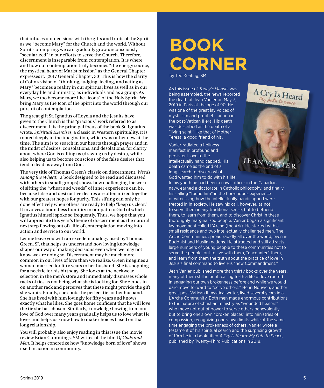that infuses our decisions with the gifts and fruits of the Spirit as we "become Mary" for the Church and the world. Without Spirit's prompting, we can gradually grow unconsciously "secularized" in our efforts to serve the Church. Therefore, discernment is inseparable from contemplation. It is where and how our contemplation truly becomes "the energy source, the mystical heart of Marist mission" as the General Chapter expresses it. (2017 General Chapter, 30) This is how the clarity of Colin's vision of "thinking, judging, feeling, and acting as Mary" becomes a reality in our spiritual lives as well as in our everyday life and ministry, as individuals and as a group. As Mary, we too become more like "icons" of the Holy Spirit. We bring Mary as the Icon of the Spirit into the world through our pursuit of contemplation.

The great gift St. Ignatius of Loyola and the Jesuits have given to the Church is this "gracious" work referred to as discernment. It is the principal focus of the book St. Ignatius wrote, *Spiritual Exercises*, a classic in Western spirituality. It is rooted deeply in the imagination, which was rather new at the time. The aim is to search in our hearts through prayer and in the midst of desires, consolations, and desolations, for clarity about where God is calling us (drawing us by desire), while also helping us to become conscious of the false desires that tend to lead us away from God.

The very title of Thomas Green's classic on discernment, *Weeds Among the Wheat*, (a book designed to be read and discussed with others in small groups) shows how challenging the work of sifting the "wheat and weeds" of inner experience can be, because false and destructive desires are often mixed together with our greatest hopes for purity. This sifting can only be done effectively when others are ready to help "keep us clear." It involves a boundless humility in our path to God of which Ignatius himself spoke so frequently. Thus, we hope that you will appreciate this year's theme of discernment as the natural next step flowing out of a life of contemplation moving into action and service to our world.

Let me leave you with an excellent analogy used by Thomas Green, SJ, that helps us understand how loving knowledge shapes our way of making decisions even when we may not know we are doing so. Discernment may be much more common in our lives of love than we realize. Green imagines a woman married for fifty years to her husband. She is shopping for a necktie for his birthday. She looks at the neckwear selection in the men's store and immediately dismisses whole racks of ties as not being what she is looking for. She zeroes in on another rack and perceives that these might provide the gift she wants. Finally, she spots the perfect tie for her husband. She has lived with him lovingly for fifty years and knows exactly what he likes. She goes home confident that he will love the tie she has chosen. Similarly, knowledge flowing from our love of God over many years gradually helps us to love what He loves and helps us know how to make choices based on that long relationship.

You will probably also enjoy reading in this issue the movie review Brian Cummings, SM writes of the film *Of Gods and Men*. It helps concretize how "knowledge born of love" shows itself in action in community.

## **BOOK CORNER**

by Ted Keating, SM

As this issue of *Today's Marists* was being assembled, the news reported the death of Jean Vanier on May 7, 2019 in Paris at the age of 90. He was one of the great lay voices of mysticism and prophetic action in the post-Vatican II era. His death was described as the death of a "living saint," like that of Mother Teresa, a good friend of his.

Vanier radiated a holiness manifest in profound and persistent love to the intellectually handicapped. His death came as the end of a long search to discern what God wanted him to do with his life.

In his youth he had been a naval officer in the Canadian navy, earned a doctorate in Catholic philosophy, and finally his calling "found him" in the horrendous experience of witnessing how the intellectually handicapped were treated in in society. He saw his call, however, as not to serve them in any traditional sense, but to befriend them, to learn from them, and to discover Christ in these thoroughly marginalized people. Vanier began a significant lay movement called L'Arche (the Ark). He started with a small residence and two intellectually challenged men. The Arche Communities spread rapidly all over the world, even in Buddhist and Muslim nations. He attracted and still attracts large numbers of young people to these communities not to serve the people, but to live with them, "encounter" them, and learn from them the truth about the practice of love in Jesus's final command to live His "new Commandment."

A Cry Is Heard

Jean Vanier published more than thirty books over the years, many of them still in print, calling forth a life of love rooted in engaging our own brokenness before and while we would dare move forward to "serve others." Henri Nouwen, another great post-Vatican II mystical writer, lived several years in a L'Arche Community. Both men made enormous contributions to the nature of Christian ministry as "wounded healers" who move not out of power to serve others benevolently, but to bring one's own "broken places" into ministries of compassion, recognizing one's own limits while at the same time engaging the brokenness of others. Vanier wrote a testament of his spiritual search and the surprising growth of L'Arche in a book titled *A Cry Is Heard: My Path to Peace*, published by Twenty-Third Publications in 2018.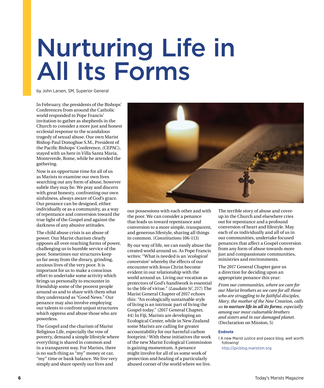## Nurturing Life in All Its Forms

by John Larsen, SM, Superior General

In February, the presidents of the Bishops' Conferences from around the Catholic world responded to Pope Francis' invitation to gather as shepherds in the Church to consider a more just and honest ecclesial response to the scandalous tragedy of sexual abuse. Our own Marist Bishop Paul Donoghue S.M., President of the Pacific Bishops' Conference, (CEPAC), stayed with us here in Villa Santa Maria, Monteverde, Rome, while he attended the gathering.

Now is an opportune time for all of us as Marists to examine our own lives searching out any form of abuse, however subtle they may be. We pray and discern with great honesty, confronting our own sinfulness, always aware of God's grace. Our penance can be designed, either individually or as a community, as a way of repentance and conversion toward the true light of the Gospel and against the darkness of any abusive attitudes.

The child abuse crisis is an abuse of power. Our Marist charism clearly opposes all over-reaching forms of power, challenging us to humble service of the poor. Sometimes our structures keep us far away from the dreary, grinding, anxious lives of the very poor. It is important for us to make a conscious effort to undertake some activity which brings us personally to encounter in friendship some of the poorest people around us and to share with them what they understand as "Good News." Our penance may also involve employing our talents to confront unjust structures which oppress and abuse those who are powerless.

The Gospel and the charism of Marist Religious Life, especially the vow of poverty, demand a simple lifestyle where everything is shared in common and in a transparent way. For Marists, there is no such thing as "my" money or car, "my" time or bank balance. We live very simply and share openly our lives and



our possessions with each other and with the poor. We can consider a penance that leads us toward repentance and conversion to a more simple, transparent, and generous lifestyle, sharing all things in common. (*Constitutions* 106-113)

By our way of life, we can easily abuse the created world around us. As Pope Francis writes: "What is needed is an '*ecological conversion*' whereby the effects of our encounter with Jesus Christ become evident in our relationship with the world around us. Living our vocation as protectors of God's handiwork is essential to the life of virtue." (*Laudato Si'*, 217) The Marist General Chapter of 2017 echoes this: "An ecologically sustainable style of living is an intrinsic part of living the Gospel today." (2017 General Chapter, 44) In Fiji, Marists are developing an Ecological Center, while in New Zealand some Marists are calling for greater accountability for our harmful carbon footprint.<sup>1</sup> With these initiatives the work of the new Marist Ecological Commission is gaining momentum. A penance might involve for all of us some work of protection and healing of a particularly abused corner of the world where we live.

The terrible story of abuse and coverup in the Church and elsewhere cries out for repentance and a profound conversion of heart and lifestyle. May each of us individually and all of us in our communities, undertake focused penances that affect a Gospel conversion from any form of abuse towards more just and compassionate communities, ministries and environments.

The 2017 General Chapter gave us a direction for deciding upon an appropriate penance this year:

*From our communities, where we care for our Marist brothers as we care for all those who are struggling to be faithful disciples, Mary, the mother of the New Creation, calls us to nurture life in all its forms, especially among our most vulnerable brothers and sisters and in our damaged planet.* (Declaration on Mission, 5)

#### **Endnote**

1 A new Marist justice and peace blog, well worth following! <http://jpicblog.maristsm.org>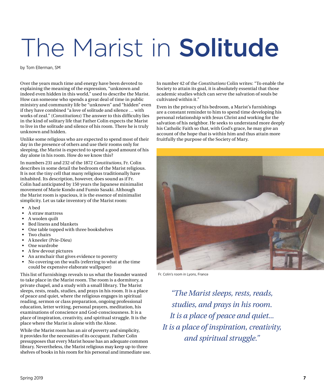# The Marist in Solitude

by Tom Ellerman, SM

Over the years much time and energy have been devoted to explaining the meaning of the expression, "unknown and indeed even hidden in this world," used to describe the Marist. How can someone who spends a great deal of time in public ministry and community life be "unknown" and "hidden" even if they have combined "a love of solitude and silence … with works of zeal." (*Constitutions*) The answer to this difficulty lies in the kind of solitary life that Father Colin expects the Marist to live in the solitude and silence of his room. There he is truly unknown and hidden.

Unlike some religious who are expected to spend most of their day in the presence of others and use their rooms only for sleeping, the Marist is expected to spend a good amount of his day alone in his room. How do we know this?

In numbers 231 and 232 of the 1872 *Constitutions*, Fr. Colin describes in some detail the bedroom of the Marist religious. It is not the tiny cell that many religious traditionally have inhabited. Its description, however, does sound as if Fr. Colin had anticipated by 150 years the Japanese minimalist movement of Marie Kondo and Fumio Sasaki. Although the Marist room is spacious, it is the essence of minimalist simplicity. Let us take inventory of the Marist room:

- A bed
- A straw mattress
- A woolen quilt
- Bed linens and blankets
- One table topped with three bookshelves
- Two chairs
- A kneeler (Prie-Dieu)
- One wardrobe
- A few devout pictures
- An armchair that gives evidence to poverty
- No covering on the walls (referring to what at the time could be expensive elaborate wallpaper)

This list of furnishings reveals to us what the founder wanted to take place in the Marist room. The room is a dormitory, a private chapel, and a study with a small library. The Marist sleeps, rests, reads, studies, and prays in his room. It is a place of peace and quiet, where the religious engages in spiritual reading, sermon or class preparation, ongoing professional education, letter writing, personal prayers, meditation, his examinations of conscience and God-consciousness. It is a place of inspiration, creativity, and spiritual struggle. It is the place where the Marist is alone with the Alone.

While the Marist room has an air of poverty and simplicity, it provides for the necessities of its occupant. Father Colin presupposes that every Marist house has an adequate common library. Nevertheless, the Marist religious may keep up to three shelves of books in his room for his personal and immediate use. In number 42 of the *Constitutions* Colin writes: "To enable the Society to attain its goal, it is absolutely essential that those academic studies which can serve the salvation of souls be cultivated within it."

Even in the privacy of his bedroom, a Marist's furnishings are a constant reminder to him to spend time developing his personal relationship with Jesus Christ and working for the salvation of his neighbor. He seeks to understand more deeply his Catholic Faith so that, with God's grace, he may give an account of the hope that is within him and thus attain more fruitfully the purpose of the Society of Mary.



Fr. Colin's room in Lyons, France

*"The Marist sleeps, rests, reads, studies, and prays in his room. It is a place of peace and quiet... It is a place of inspiration, creativity, and spiritual struggle."*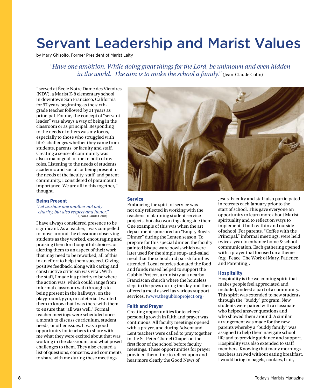## Servant Leadership and Marist Values

by Mary Ghisolfo, Former President of Marist Laity

*"Have one ambition. While doing great things for the Lord, be unknown and even hidden in the world. The aim is to make the school a family.*" (Jean-Claude Colin)

I served at École Notre Dame des Victoires (NDV), a Marist K-8 elementary school in downtown San Francisco, California for 37 years beginning as the sixthgrade teacher followed by 31 years as principal. For me, the concept of "servant leader" was always a way of being in the classroom or as principal. Responding to the needs of others was my focus, especially to those who struggled with life's challenges whether they came from students, parents, or faculty and staff. Creating a sense of community was also a major goal for me in both of my roles. Listening to the needs of students, academic and social, or being present to the needs of the faculty, staff, and parent community, I considered of paramount importance. We are all in this together, I thought.

#### **Being Present**

*"Let us show one another not only charity, but also respect and honor."* (Jean-Claude Colin)

I have always considered presence to be significant. As a teacher, I was compelled to move around the classroom observing students as they worked, encouraging and praising them for thoughtful choices, or alerting them to an aspect of their work that may need to be reworked, all of this in an effort to help them succeed. Giving positive feedback, along with caring and constructive criticism was vital. With the staff, I made it a priority to be where the action was, which could range from informal classroom walkthroughs to being present in the hallways, on the playground, gym, or cafeteria. I wanted them to know that I was there with them to ensure that "all was well." Formal teacher meetings were scheduled once a month to discuss curriculum, student needs, or other issues. It was a good opportunity for teachers to share with me what they were excited about that was working in the classroom, and what posed challenges to them. They also created a list of questions, concerns, and comments to share with me during these meetings.



#### **Service**

Embracing the spirit of service was not only reflected in working with the teachers in planning student service projects, but also working alongside them. One example of this was when the art department sponsored an "Empty Bowls Dinner" during the Lenten season. To prepare for this special dinner, the faculty painted bisque ware bowls which were later used for the simple soup-and-salad meal that the school and parish families attended. Local eateries donated the food and funds raised helped to support the Gubbio Project, a ministry at a nearby Franciscan church where the homeless slept in the pews during the day and then offered a meal as well as various support services. [\(www.thegubbioproject.org](http://www.thegubbioproject.org))

#### **Faith and Prayer**

Creating opportunities for teachers' personal growth in faith and prayer was continuous. All faculty meetings opened with a prayer, and during Advent and Lent teachers were called to pray together in the St. Peter Chanel Chapel on the first floor of the school before faculty meetings. These opportunities for prayer provided them time to reflect upon and hear more clearly the Good News of

Jesus. Faculty and staff also participated in retreats each January prior to the start of school. This gave everyone an opportunity to learn more about Marist spirituality and to reflect on ways to implement it both within and outside of school. For parents, "Coffee with the Principal," informal meetings, were held twice a year to enhance home & school communication. Each gathering opened with a prayer that focused on a theme (e.g., Peace, The Work of Mary, Patience and Parenting).

#### **Hospitality**

Hospitality is the welcoming spirit that makes people feel appreciated and included, indeed a part of a community. This spirit was extended to new students through the "buddy" program. New students were paired with a classmate who helped answer questions and who showed them around. A similar arrangement was made for the new parents whereby a "buddy family" was assigned to help them navigate school life and to provide guidance and support. Hospitality was also extended to staff members. Knowing that many mornings teachers arrived without eating breakfast, I would bring in bagels, cookies, fruit,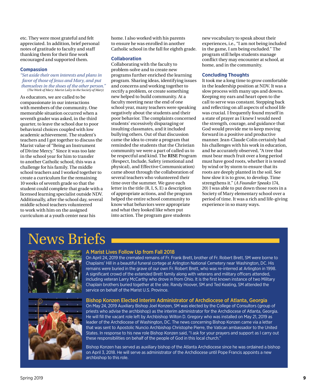etc. They were most grateful and felt appreciated. In addition, brief personal notes of gratitude to faculty and staff thanking them for their fine work encouraged and supported them.

#### **Compassion**

*"Set aside their own interests and plans in favor of those of Jesus and Mary, and put themselves in the shoes of the other person."* (*The Work of Mary: Marist Laity in the Society of Mary*)

As educators, we are called to be compassionate in our interactions with members of the community. One memorable situation occurred when a seventh grader was asked, in the third quarter, to leave the school due to poor behavioral choices coupled with low academic achievement. The student's teachers and I got together to discuss the Marist value of "Being an Instrument of Divine Mercy." Since it was too late in the school year for him to transfer to another Catholic school, this was a challenge for his family. The middle school teachers and I worked together to create a curriculum for the remaining 10 weeks of seventh grade so that the student could complete that grade with a licensed learning specialist outside NDV. Additionally, after the school day, several middle school teachers volunteered to work with him on the assigned curriculum at a youth center near his

home. I also worked with his parents to ensure he was enrolled in another Catholic school in the fall for eighth grade.

#### **Collaboration**

Collaborating with the faculty to problem-solve and to create new programs further enriched the learning program. Sharing ideas, identifying issues and concerns and working together to rectify a problem, or create something new helped to build community. At a faculty meeting near the end of one school year, many teachers were speaking negatively about the students and their poor behavior. The complaints concerned students' excessively disparaging or insulting classmates, and it included bullying others. Out of that discussion came the idea to create a program that reminded the students that the Christian community we were a part of called us to be respectful and kind. The **RISE** Program (Respect, Include, Safety (emotional and physical), and Effective Communication) came about through the collaboration of several teachers who volunteered their time over the summer. We gave each letter in the title (R, I, S, E) a description of appropriate actions, and the program helped the entire school community to know what behaviors were appropriate and what they looked like when put into action. The program gave students

new vocabulary to speak about their experiences, i.e., "I am not being included in the game, I am being excluded." The program still helps students manage conflict they may encounter at school, at home, and in the community.

#### **Concluding Thoughts**

It took me a long time to grow comfortable in the leadership position at NDV. It was a slow process with many ups and downs. Keeping my ears and heart open to the call to serve was constant. Stepping back and reflecting on all aspects of school life was crucial. I frequently found myself in a state of prayer as I knew I would need the strength, courage, and guidance that God would provide me to keep moving forward in a positive and productive manner. Jean-Claude Colin certainly had his challenges with his work in education, and he accurately observed, "A tree that must bear much fruit over a long period must have good roots, whether it is tested by wind or by storm to ensure that its roots are deeply planted in the soil. See how slow it is to grow, to develop. Time strengthens it." (*A Founder Speaks* 174, 20) I was able to put down those roots in a Society of Mary elementary school over a period of time. It was a rich and life-giving experience in so many ways.

### News Briefs





#### A Marist Lives Follow Up from Fall 2018

On April 24, 2019 the cremated remains of Fr. Frank Brett, brother of Fr. Robert Brett, SM were borne to Chaplains' Hill in a beautiful funeral cortege at Arlington National Cemetery near Washington, DC. His remains were buried in the grave of our own Fr. Robert Brett, who was re-interred at Arlington in 1998. A significant crowd of the extended Brett family along with veterans and military officers attended, including veteran Larry McCarthy who drove in from Ohio. It is the first known instance of two Military Chaplain brothers buried together at the site. Randy Hoover, SM and Ted Keating, SM attended the service on behalf of the Marist U.S. Province.

#### Bishop Konzen Elected Interim Administrator of Archdiocese of Atlanta, Georgia

On May 24, 2019 Auxiliary Bishop Joel Konzen, SM was elected by the College of Consultors (group of priests who advise the archbishop) as the interim administrator for the Archdiocese of Atlanta, Georgia. He will fill the vacant role left by Archbishop Wilton D. Gregory who was installed on May 21, 2019 as leader of the Archdiocese of Washington, DC. The news concerning Bishop Konzen came via a letter that was sent to Apostolic Nuncio Archbishop Christophe Pierre, the Vatican ambassador to the United States. In response to his new role Bishop Konzen said, "I ask for your prayers and support as I carry out these responsibilities on behalf of the people of God in this local church."

Bishop Konzen has served as auxiliary bishop of the Atlanta Archdiocese since he was ordained a bishop on April 3, 2018. He will serve as administrator of the Archdiocese until Pope Francis appoints a new archbishop to this role.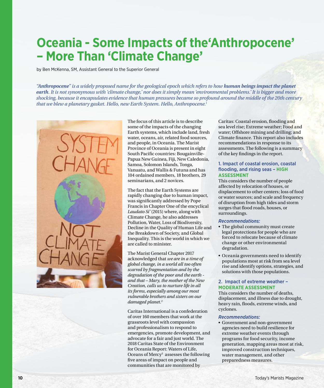### **Oceania - Some Impacts of the'Anthropocene' – More Than 'Climate Change'**

by Ben McKenna, SM, Assistant General to the Superior General

*"Anthropocene" is a widely proposed name for the geological epoch which refers to how human beings impact the planet earth. It is not synonymous with 'climate change,' nor does it simply mean 'environmental problems.' It is bigger and more shocking, because it encapsulates evidence that human pressures became so profound around the middle of the 20th century that we blew a planetary gasket. Hello, new Earth System. Hello, Anthropocene.1*



The focus of this article is to describe some of the impacts of the changing Earth systems, which include land, fresh water, oceans, air, related food sources, and people, in Oceania. The Marist Province of Oceania is present in eight South Pacific countries: Bougainville-Papua New Guinea, Fiji, New Caledonia, Samoa, Solomon Islands, Tonga, Vanuatu, and Wallis & Futuna and has 104 ordained members, 18 brothers, 29 seminarians, and 2 novices.

The fact that the Earth Systems are rapidly changing due to human impact, was significantly addressed by Pope Francis in Chapter One of the encyclical *Laudato Si'* (2015) where, along with Climate Change, he also addresses Pollution, Water, Loss of Biodiversity, Decline in the Quality of Human Life and the Breakdown of Society, and Global Inequality. This is the world in which we are called to minister.

The Marist General Chapter 2017 acknowledged that *we are in a time of global change, in a world all too often scarred by fragmentation and by the degradation of the poor and the earth and that – Mary, the mother of the New Creation, calls us to nurture life in all its forms, especially among our most vulnerable brothers and sisters on our damaged planet.*<sup>2</sup>

Caritas International is a confederation of over 160 members that work at the grassroots level with compassion and professionalism to respond to emergencies, promote development, and advocate for a fair and just world. The 2018 Caritas State of the Environment for Oceania Report: Waters of Life, Oceans of Mercy<sup>3</sup> assesses the following five areas of impact on people and communities that are monitored by

Caritas: Coastal erosion, flooding and sea level rise; Extreme weather; Food and water; Offshore mining and drilling; and Climate finance. This report also includes recommendations in response to its assessments. The following is a summary of the key findings in the report.

#### 1. Impact of coastal erosion, coastal flooding, and rising seas – **HIGH ASSESSMENT**

This considers the number of people affected by relocation of houses, or displacement to other centers; loss of food or water sources; and scale and frequency of disruption from high tides and storm surges that flood roads, houses, or surroundings.

#### *Recommendations:*

- The global community must create legal protections for people who are forced to relocate because of climate change or other environmental degradation.
- Oceania governments need to identify populations most at risk from sea level rise and identify options, strategies, and solutions with those populations.

#### 2. Impact of extreme weather – **MODERATE ASSESSMENT**

This considers the number of deaths, displacement, and illness due to drought, heavy rain, floods, extreme winds, and cyclones.

#### *Recommendations:*

• Government and non-government agencies need to build resilience for extreme weather events through programs for food security, income generation, mapping areas most at risk, improved construction techniques, water management, and other preparedness measures.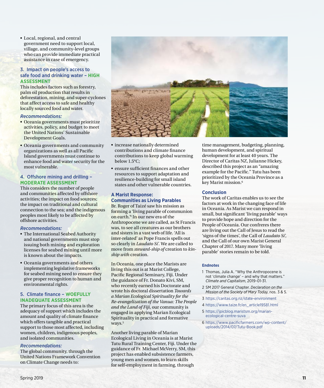• Local, regional, and central government need to support local, village, and community-level groups who can provide immediate practical assistance in case of emergency.

#### 3. Impact on people's access to safe food and drinking water – **HIGH ASSESSMENT**

This includes factors such as forestry, palm oil production that results in deforestation, mining, and super-cyclones that affect access to safe and healthy locally sourced food and water.

#### *Recommendations:*

- Oceania governments must prioritize activities, policy, and budget to meet the United Nations' Sustainable Development Goals.
- Oceania governments and community organizations as well as all Pacific Island governments must continue to enhance food and water security for the most vulnerable.

#### 4. Offshore mining and drilling – **MODERATE ASSESSMENT**

This considers the number of people and communities affected by offshore activities; the impact on food sources; the impact on traditional and cultural connection to the sea; and the indigenous peoples most likely to be affected by offshore activities.

#### *Recommendations:*

- The International Seabed Authority and national governments must stop issuing both mining and exploration licenses for seabed mining until more is known about the impacts.
- Oceania governments and others implementing legislative frameworks for seabed mining need to ensure they give proper recognition to human and environmental rights.

#### 5. Climate finance – **WOEFULLY INADEQUATE ASSESSMENT**

The primary focus of this area is the adequacy of support which includes the amount and quality of climate finance which offers tangible and practical support to those most affected, including women, children, indigenous peoples, and isolated communities.

#### *Recommendations:*

The global community, through the United Nations Framework Convention on Climate Change needs to:



- increase nationally determined contributions and climate finance contributions to keep global warming below 1.5°C;
- ensure sufficient finances and other resources to support adaptation and resilience-building for small island states and other vulnerable countries.

#### **A Marist Response: Communities as Living Parables**

Br. Roger of Taizé saw his mission as forming a 'living parable of communion on earth.'4 In our new era of the Anthropocene we are called, as St Francis was, to see all creatures as our brothers and sisters in a vast web of life. 'All is inter-related' as Pope Francis spells out so clearly in *Laudato Si'.* We are called to move from *steward-ship of* creation to *kinship with* creation.

In Oceania, one place the Marists are living this out is at Marist College, Pacific Regional Seminary, Fiji. Under the guidance of Fr. Donato Kivi, SM, who recently earned his Doctorate and wrote his doctoral dissertation *Towards a Marian Ecological Spirituality for the Re-evangelization of the Vanua: The People and the Land of Fiji*, our community is engaged in applying Marian Ecological Spirituality in practical and formative ways.<sup>5</sup>

Another living parable of Marian Ecological Living in Oceania is at Marist Tutu Rural Training Center, Fiji. Under the guidance of Fr. Michael McVerry, SM, this project has enabled subsistence farmers, young men and women, to learn skills for self-employment in farming, through

time management, budgeting, planning, human development, and spiritual development for at least 40 years. The Director of Caritas NZ, Julianne Hickey, described this project as an "amazing example for the Pacific." Tutu has been prioritized by the Oceania Province as a key Marist mission.6

#### **Conclusion**

The work of Caritas enables us to see the factors at work in the changing face of life in Oceania. As Marist we can respond in small, but significant 'living parable' ways to provide hope and direction for the People of Oceania. Our confreres there are living out the Call of Jesus to read the 'signs of the times', the Call of *Laudato Si',* and the Call of our own Marist General Chapter of 2017. Many more 'living parable' stories remain to be told.

#### **Endnotes**

- 1 Thomas, Julia A. "Why the Anthropocene is not 'climate change' – and why that matters." *Climate and Capitalism*, 2019-01-31.
- 2 SM 2017 General Chapter. *Declaration on the Mission of the Society of Mary Today*, nos. 3 & 5.
- 3 <https://caritas.org.nz/state-environment>
- 4 [https://www.taize.fr/en\\_article19581.html](https://www.taize.fr/en_article19581.html)
- 5 [https://jpicblog.maristsm.org/marian](https://jpicblog.maristsm.org/marian-ecological-centre-suva)[ecological-centre-suva](https://jpicblog.maristsm.org/marian-ecological-centre-suva)
- 6 [https://www.pacificfarmers.com/wp-content/](https://www.pacificfarmers.com/wp-content/uploads/2014/07/Tutu-Book.pdf ) [uploads/2014/07/Tutu-Book.pdf](https://www.pacificfarmers.com/wp-content/uploads/2014/07/Tutu-Book.pdf )